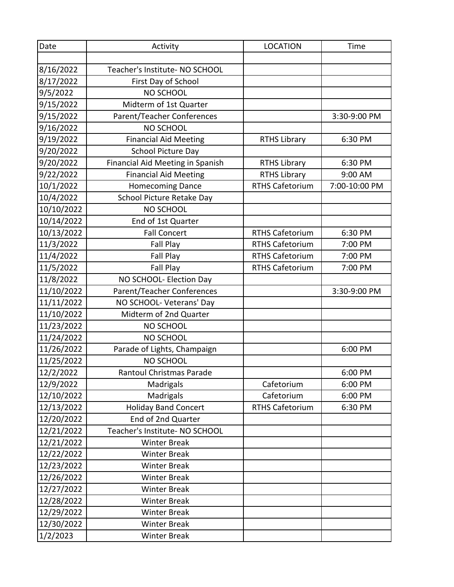| Date       | Activity                         | <b>LOCATION</b>        | Time          |
|------------|----------------------------------|------------------------|---------------|
|            |                                  |                        |               |
| 8/16/2022  | Teacher's Institute- NO SCHOOL   |                        |               |
| 8/17/2022  | First Day of School              |                        |               |
| 9/5/2022   | NO SCHOOL                        |                        |               |
| 9/15/2022  | Midterm of 1st Quarter           |                        |               |
| 9/15/2022  | Parent/Teacher Conferences       |                        | 3:30-9:00 PM  |
| 9/16/2022  | <b>NO SCHOOL</b>                 |                        |               |
| 9/19/2022  | <b>Financial Aid Meeting</b>     | <b>RTHS Library</b>    | 6:30 PM       |
| 9/20/2022  | School Picture Day               |                        |               |
| 9/20/2022  | Financial Aid Meeting in Spanish | <b>RTHS Library</b>    | 6:30 PM       |
| 9/22/2022  | <b>Financial Aid Meeting</b>     | <b>RTHS Library</b>    | 9:00 AM       |
| 10/1/2022  | <b>Homecoming Dance</b>          | <b>RTHS Cafetorium</b> | 7:00-10:00 PM |
| 10/4/2022  | School Picture Retake Day        |                        |               |
| 10/10/2022 | NO SCHOOL                        |                        |               |
| 10/14/2022 | End of 1st Quarter               |                        |               |
| 10/13/2022 | <b>Fall Concert</b>              | <b>RTHS Cafetorium</b> | 6:30 PM       |
| 11/3/2022  | Fall Play                        | <b>RTHS Cafetorium</b> | 7:00 PM       |
| 11/4/2022  | Fall Play                        | <b>RTHS Cafetorium</b> | 7:00 PM       |
| 11/5/2022  | Fall Play                        | <b>RTHS Cafetorium</b> | 7:00 PM       |
| 11/8/2022  | NO SCHOOL- Election Day          |                        |               |
| 11/10/2022 | Parent/Teacher Conferences       |                        | 3:30-9:00 PM  |
| 11/11/2022 | NO SCHOOL- Veterans' Day         |                        |               |
| 11/10/2022 | Midterm of 2nd Quarter           |                        |               |
| 11/23/2022 | <b>NO SCHOOL</b>                 |                        |               |
| 11/24/2022 | NO SCHOOL                        |                        |               |
| 11/26/2022 | Parade of Lights, Champaign      |                        | 6:00 PM       |
| 11/25/2022 | NO SCHOOL                        |                        |               |
| 12/2/2022  | Rantoul Christmas Parade         |                        | 6:00 PM       |
| 12/9/2022  | Madrigals                        | Cafetorium             | 6:00 PM       |
| 12/10/2022 | Madrigals                        | Cafetorium             | 6:00 PM       |
| 12/13/2022 | <b>Holiday Band Concert</b>      | <b>RTHS Cafetorium</b> | 6:30 PM       |
| 12/20/2022 | End of 2nd Quarter               |                        |               |
| 12/21/2022 | Teacher's Institute- NO SCHOOL   |                        |               |
| 12/21/2022 | <b>Winter Break</b>              |                        |               |
| 12/22/2022 | <b>Winter Break</b>              |                        |               |
| 12/23/2022 | <b>Winter Break</b>              |                        |               |
| 12/26/2022 | <b>Winter Break</b>              |                        |               |
| 12/27/2022 | <b>Winter Break</b>              |                        |               |
| 12/28/2022 | <b>Winter Break</b>              |                        |               |
| 12/29/2022 | <b>Winter Break</b>              |                        |               |
| 12/30/2022 | <b>Winter Break</b>              |                        |               |
| 1/2/2023   | <b>Winter Break</b>              |                        |               |